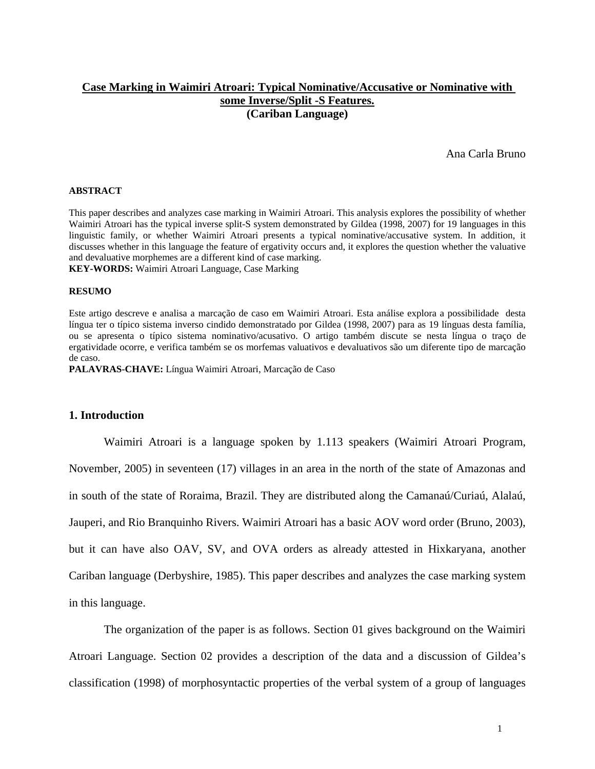# **Case Marking in Waimiri Atroari: Typical Nominative/Accusative or Nominative with some Inverse/Split -S Features. (Cariban Language)**

Ana Carla Bruno

#### **ABSTRACT**

This paper describes and analyzes case marking in Waimiri Atroari. This analysis explores the possibility of whether Waimiri Atroari has the typical inverse split-S system demonstrated by Gildea (1998, 2007) for 19 languages in this linguistic family, or whether Waimiri Atroari presents a typical nominative/accusative system. In addition, it discusses whether in this language the feature of ergativity occurs and, it explores the question whether the valuative and devaluative morphemes are a different kind of case marking.

**KEY-WORDS:** Waimiri Atroari Language, Case Marking

#### **RESUMO**

Este artigo descreve e analisa a marcação de caso em Waimiri Atroari. Esta análise explora a possibilidade desta língua ter o típico sistema inverso cindido demonstratado por Gildea (1998, 2007) para as 19 línguas desta família, ou se apresenta o típico sistema nominativo/acusativo. O artigo também discute se nesta língua o traço de ergatividade ocorre, e verifica também se os morfemas valuativos e devaluativos são um diferente tipo de marcação de caso.

**PALAVRAS-CHAVE:** Língua Waimiri Atroari, Marcação de Caso

#### **1. Introduction**

 Waimiri Atroari is a language spoken by 1.113 speakers (Waimiri Atroari Program, November, 2005) in seventeen (17) villages in an area in the north of the state of Amazonas and in south of the state of Roraima, Brazil. They are distributed along the Camanaú/Curiaú, Alalaú, Jauperi, and Rio Branquinho Rivers. Waimiri Atroari has a basic AOV word order (Bruno, 2003), but it can have also OAV, SV, and OVA orders as already attested in Hixkaryana, another Cariban language (Derbyshire, 1985). This paper describes and analyzes the case marking system in this language.

 The organization of the paper is as follows. Section 01 gives background on the Waimiri Atroari Language. Section 02 provides a description of the data and a discussion of Gildea's classification (1998) of morphosyntactic properties of the verbal system of a group of languages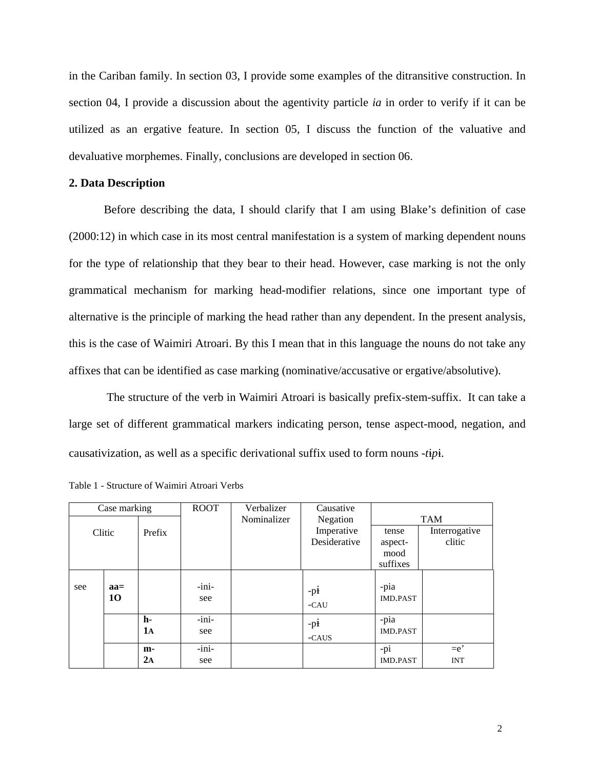in the Cariban family. In section 03, I provide some examples of the ditransitive construction. In section 04, I provide a discussion about the agentivity particle *ia* in order to verify if it can be utilized as an ergative feature. In section 05, I discuss the function of the valuative and devaluative morphemes. Finally, conclusions are developed in section 06.

## **2. Data Description**

Before describing the data, I should clarify that I am using Blake's definition of case (2000:12) in which case in its most central manifestation is a system of marking dependent nouns for the type of relationship that they bear to their head. However, case marking is not the only grammatical mechanism for marking head-modifier relations, since one important type of alternative is the principle of marking the head rather than any dependent. In the present analysis, this is the case of Waimiri Atroari. By this I mean that in this language the nouns do not take any affixes that can be identified as case marking (nominative/accusative or ergative/absolutive).

 The structure of the verb in Waimiri Atroari is basically prefix-stem-suffix. It can take a large set of different grammatical markers indicating person, tense aspect-mood, negation, and causativization, as well as a specific derivational suffix used to form nouns -*tp*.

| Case marking |        | <b>ROOT</b> | Verbalizer | Causative               |              |                 |               |
|--------------|--------|-------------|------------|-------------------------|--------------|-----------------|---------------|
|              |        |             |            | Nominalizer<br>Negation |              | <b>TAM</b>      |               |
|              | Clitic | Prefix      |            |                         | Imperative   | tense           | Interrogative |
|              |        |             |            |                         | Desiderative | aspect-         | clitic        |
|              |        |             |            |                         |              | mood            |               |
|              |        |             |            |                         |              | suffixes        |               |
|              |        |             |            |                         |              |                 |               |
| see          | $aa=$  |             | -ini-      |                         | $-pi$        | -pia            |               |
|              | 10     |             | see        |                         | $-CAU$       | <b>IMD.PAST</b> |               |
|              |        |             |            |                         |              |                 |               |
|              |        | h-          | -ini-      |                         | $-pi$        | -pia            |               |
|              |        | 1а          | see        |                         | $-CAUS$      | <b>IMD.PAST</b> |               |
|              |        |             | -ini-      |                         |              |                 | $=$ e'        |
|              |        | $m-$        |            |                         |              | -pi             |               |
|              |        | $2\text{A}$ | see        |                         |              | <b>IMD.PAST</b> | <b>INT</b>    |

Table 1 - Structure of Waimiri Atroari Verbs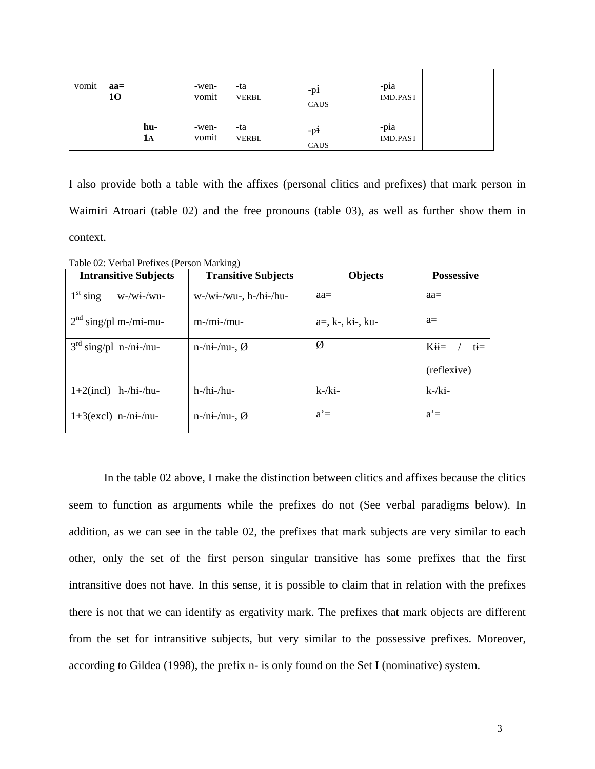| vomit | $aa =$<br>10 |           | -wen-<br>vomit | -ta<br><b>VERBL</b> | -pł<br>CAUS | $-pia$<br><b>IMD.PAST</b> |  |
|-------|--------------|-----------|----------------|---------------------|-------------|---------------------------|--|
|       |              | hu-<br>1A | -wen-<br>vomit | -ta<br><b>VERBL</b> | -pł<br>CAUS | -pia<br><b>IMD.PAST</b>   |  |

I also provide both a table with the affixes (personal clitics and prefixes) that mark person in Waimiri Atroari (table 02) and the free pronouns (table 03), as well as further show them in context.

**Intransitive Subjects Transitive Subjects Objects Possessive**   $1<sup>st</sup>$  sing w-/wi-/wu-  $\vert$  w-/wi-/wu-, h-/hi-/hu- aa= aa=  $2<sup>nd</sup> singpl m-mi-mu-$  m-/mi-/mu- a=, k-, ki-, ku- a=  $3^{\text{rd}} \text{sing/pl } n\text{-/ni-/nu-}$   $n\text{-/ni-/nu-}, \emptyset$   $\emptyset$   $Kii = / ti =$ (reflexive)  $1+2$ (incl) h-/hi-/hu-  $|h$ -/hi-/hu- k-/ki- k-/ki- k-/ki-1+3(excl) n-/ni-/nu-<br> $n-1$  n-/ni-/nu-,  $\emptyset$  a<sup>2</sup> = a<sup>2</sup> = a<sup>2</sup> = a<sup>2</sup> = a<sup>2</sup> = a<sup>2</sup> = a<sup>2</sup> = a<sup>2</sup> = a<sup>2</sup> = a<sup>2</sup> = a<sup>2</sup> = a<sup>2</sup> = a<sup>2</sup> = a<sup>2</sup> = a<sup>2</sup> = a<sup>2</sup> = a<sup>2</sup> = a<sup>2</sup> = a<sup>2</sup> = a<sup>2</sup> = a<sup>2</sup> = a<sup>2</sup> = a<sup>2</sup> = a<sup>2</sup> = a<sup>2</sup> = a

Table 02: Verbal Prefixes (Person Marking)

In the table 02 above, I make the distinction between clitics and affixes because the clitics seem to function as arguments while the prefixes do not (See verbal paradigms below). In addition, as we can see in the table 02, the prefixes that mark subjects are very similar to each other, only the set of the first person singular transitive has some prefixes that the first intransitive does not have. In this sense, it is possible to claim that in relation with the prefixes there is not that we can identify as ergativity mark. The prefixes that mark objects are different from the set for intransitive subjects, but very similar to the possessive prefixes. Moreover, according to Gildea (1998), the prefix n- is only found on the Set I (nominative) system.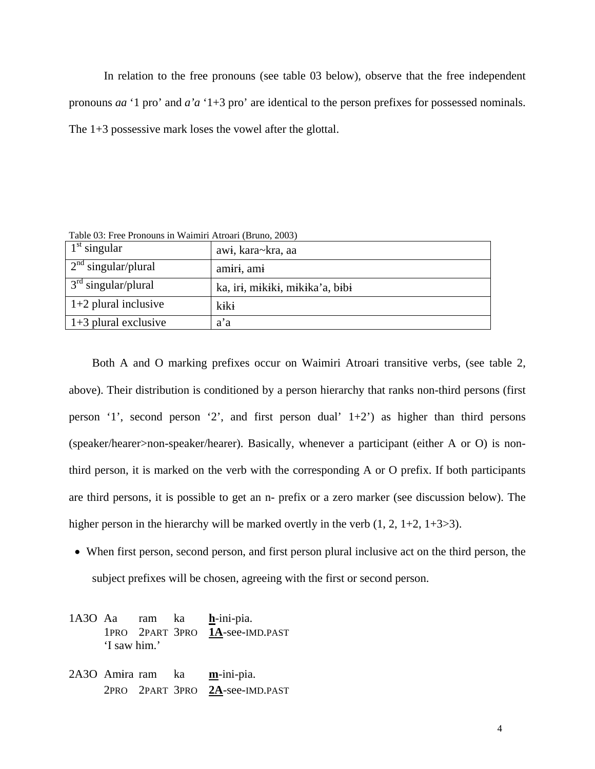In relation to the free pronouns (see table 03 below), observe that the free independent pronouns *aa* '1 pro' and *a'a* '1+3 pro' are identical to the person prefixes for possessed nominals. The 1+3 possessive mark loses the vowel after the glottal.

Table 03: Free Pronouns in Waimiri Atroari (Bruno, 2003)

| $1st$ singular         | awi, kara~kra, aa               |
|------------------------|---------------------------------|
| $2nd$ singular/plural  | amiri, ami                      |
| $3rd$ singular/plural  | ka, iri, mikiki, mikika'a, bibi |
| $1+2$ plural inclusive | kiki                            |
| $1+3$ plural exclusive | a'a                             |

Both A and O marking prefixes occur on Waimiri Atroari transitive verbs, (see table 2, above). Their distribution is conditioned by a person hierarchy that ranks non-third persons (first person '1', second person '2', and first person dual'  $1+2$ ') as higher than third persons (speaker/hearer>non-speaker/hearer). Basically, whenever a participant (either A or O) is nonthird person, it is marked on the verb with the corresponding A or O prefix. If both participants are third persons, it is possible to get an n- prefix or a zero marker (see discussion below). The higher person in the hierarchy will be marked overtly in the verb  $(1, 2, 1+2, 1+3>3)$ .

- When first person, second person, and first person plural inclusive act on the third person, the subject prefixes will be chosen, agreeing with the first or second person.
- 1A3O Aa ram ka **h**-ini-pia. 1PRO 2PART 3PRO **1A**-see-IMD.PAST 'I saw him.'
- 2A3O Amira ram ka **m**-ini-pia. 2PRO 2PART 3PRO **2A**-see-IMD.PAST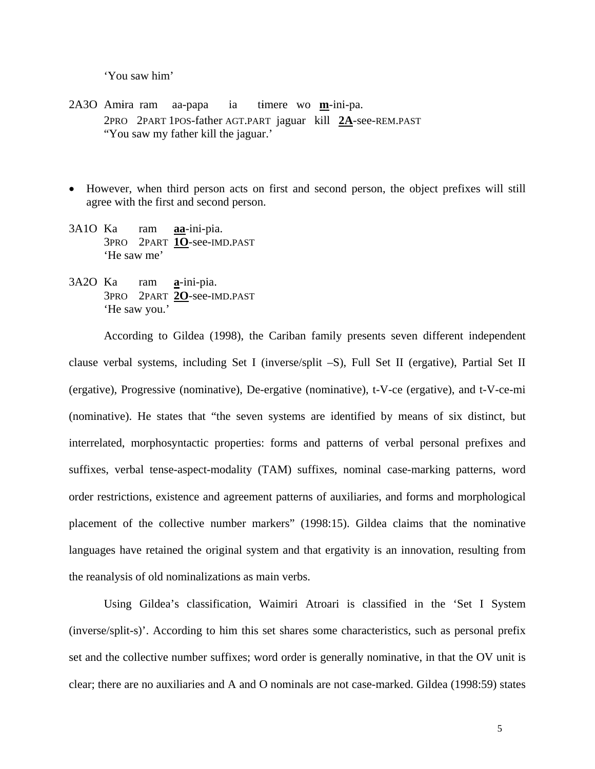'You saw him'

- 2A3O Amra ram aa-papa ia tmere wo **m**-ini-pa. 2PRO 2PART 1POS-father AGT.PART jaguar kill **2A**-see-REM.PAST "You saw my father kill the jaguar.'
- However, when third person acts on first and second person, the object prefixes will still agree with the first and second person.
- 3A1O Ka ram **aa**-ini-pia. 3PRO 2PART **1O**-see-IMD.PAST 'He saw me'
- 3A2O Ka ram **a**-ini-pia. 3PRO 2PART **2O**-see-IMD.PAST 'He saw you.'

 According to Gildea (1998), the Cariban family presents seven different independent clause verbal systems, including Set I (inverse/split –S), Full Set II (ergative), Partial Set II (ergative), Progressive (nominative), De-ergative (nominative), t-V-ce (ergative), and t-V-ce-mi (nominative). He states that "the seven systems are identified by means of six distinct, but interrelated, morphosyntactic properties: forms and patterns of verbal personal prefixes and suffixes, verbal tense-aspect-modality (TAM) suffixes, nominal case-marking patterns, word order restrictions, existence and agreement patterns of auxiliaries, and forms and morphological placement of the collective number markers" (1998:15). Gildea claims that the nominative languages have retained the original system and that ergativity is an innovation, resulting from the reanalysis of old nominalizations as main verbs.

 Using Gildea's classification, Waimiri Atroari is classified in the 'Set I System (inverse/split-s)'. According to him this set shares some characteristics, such as personal prefix set and the collective number suffixes; word order is generally nominative, in that the OV unit is clear; there are no auxiliaries and A and O nominals are not case-marked. Gildea (1998:59) states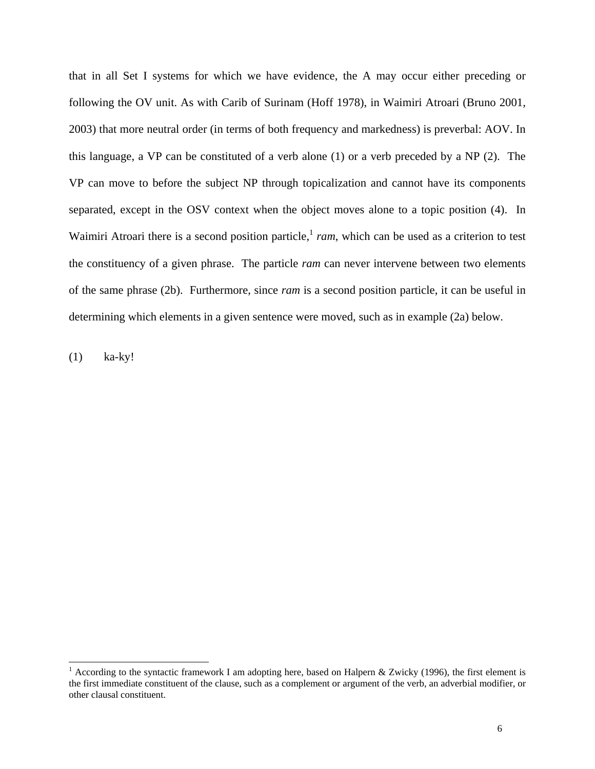that in all Set I systems for which we have evidence, the A may occur either preceding or following the OV unit. As with Carib of Surinam (Hoff 1978), in Waimiri Atroari (Bruno 2001, 2003) that more neutral order (in terms of both frequency and markedness) is preverbal: AOV. In this language, a VP can be constituted of a verb alone (1) or a verb preceded by a NP (2). The VP can move to before the subject NP through topicalization and cannot have its components separated, except in the OSV context when the object moves alone to a topic position (4). In Waimiri Atroari there is a second position particle,<sup>1</sup> ram, which can be used as a criterion to test the constituency of a given phrase. The particle *ram* can never intervene between two elements of the same phrase (2b). Furthermore, since *ram* is a second position particle, it can be useful in determining which elements in a given sentence were moved, such as in example (2a) below.

(1) ka-ky!

 $\overline{a}$ 

<sup>&</sup>lt;sup>1</sup> According to the syntactic framework I am adopting here, based on Halpern & Zwicky (1996), the first element is the first immediate constituent of the clause, such as a complement or argument of the verb, an adverbial modifier, or other clausal constituent.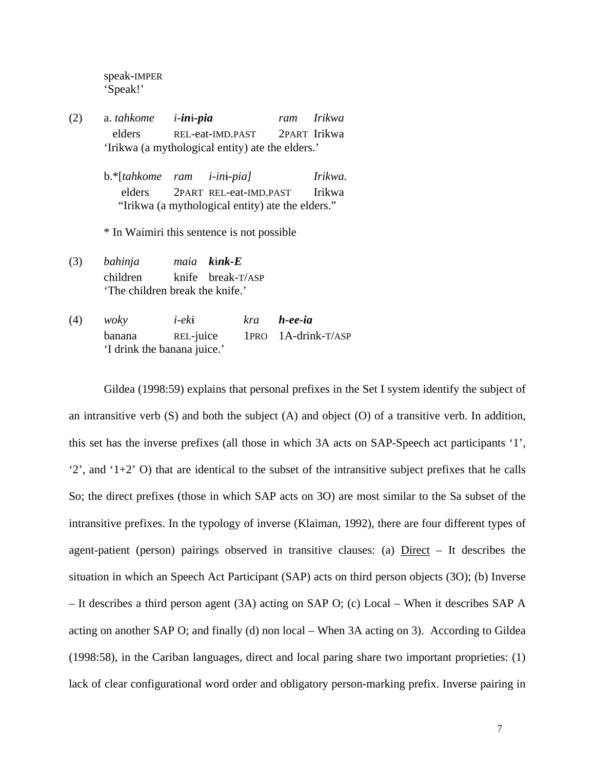speak-IMPER 'Speak!'

- (2) a. *tahkome i-in-pia ram Irikwa*  elders REL-eat-IMD.PAST 2PART Irikwa 'Irikwa (a mythological entity) ate the elders.'
	- b.\*[*tahkome ram i-in-pia] Irikwa.*  elders 2PART REL-eat-IMD.PAST Irikwa "Irikwa (a mythological entity) ate the elders."

\* In Waimiri this sentence is not possible

- (3) *bahinja maia knk-E*  children knife break-T/ASP 'The children break the knife.'
- (4) *woky i-ek kra h-ee-ia*  banana REL-juice 1PRO 1A-drink-T/ASP 'I drink the banana juice.'

Gildea (1998:59) explains that personal prefixes in the Set I system identify the subject of an intransitive verb (S) and both the subject (A) and object (O) of a transitive verb. In addition, this set has the inverse prefixes (all those in which 3A acts on SAP-Speech act participants '1',  $(2)$ , and  $(1+2)$  O) that are identical to the subset of the intransitive subject prefixes that he calls So; the direct prefixes (those in which SAP acts on 3O) are most similar to the Sa subset of the intransitive prefixes. In the typology of inverse (Klaiman, 1992), there are four different types of agent-patient (person) pairings observed in transitive clauses: (a) Direct – It describes the situation in which an Speech Act Participant (SAP) acts on third person objects (3O); (b) Inverse – It describes a third person agent (3A) acting on SAP O; (c) Local – When it describes SAP A acting on another SAP O; and finally (d) non local – When 3A acting on 3). According to Gildea (1998:58), in the Cariban languages, direct and local paring share two important proprieties: (1) lack of clear configurational word order and obligatory person-marking prefix. Inverse pairing in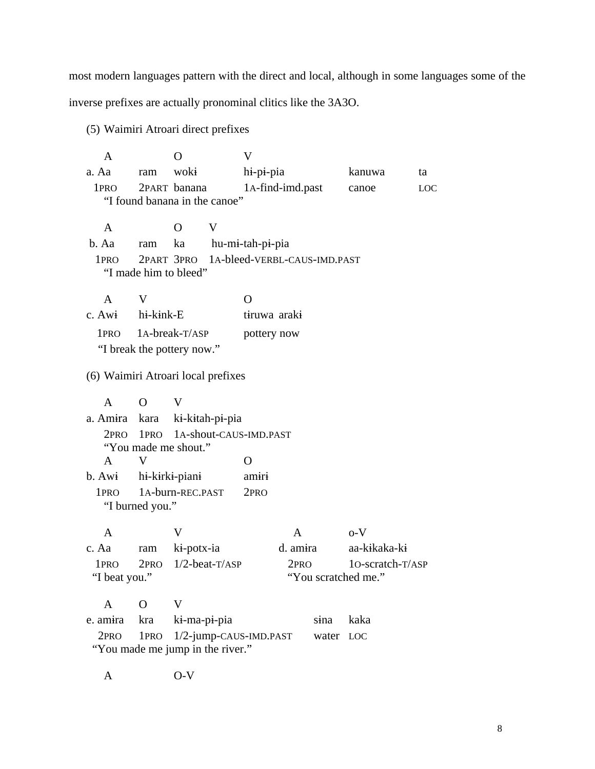most modern languages pattern with the direct and local, although in some languages some of the inverse prefixes are actually pronominal clitics like the 3A3O.

(5) Waimiri Atroari direct prefixes

A O V a. Aa ram woki hi-pi-pia kanuwa ta 1PRO 2PART banana 1A-find-imd.past canoe LOC "I found banana in the canoe" A O V b. Aa ram ka hu-mi-tah-pi-pia 1PRO 2PART 3PRO 1A-bleed-VERBL-CAUS-IMD.PAST "I made him to bleed" A V O c. Awi hi-kink-E tiruwa araki 1PRO 1A-break-T/ASP pottery now "I break the pottery now." (6) Waimiri Atroari local prefixes A O V a. Amira kara ki-kitah-pi-pia 2PRO 1PRO 1A-shout-CAUS-IMD.PAST "You made me shout." A V O b. Awi hi-kirki-piani amiri 1PRO 1A-burn-REC.PAST 2PRO "I burned you."  $A$  V  $A$   $0-V$ c. Aa ram ki-potx-ia d. amira aa-kikaka-ki 1PRO 2PRO 1/2-beat-T/ASP 2PRO 1O-scratch-T/ASP "I beat you." "You scratched me." A O V e. amira kra ki-ma-pi-pia sina kaka 2PRO 1PRO 1/2-jump-CAUS-IMD.PAST water LOC "You made me jump in the river."

A O-V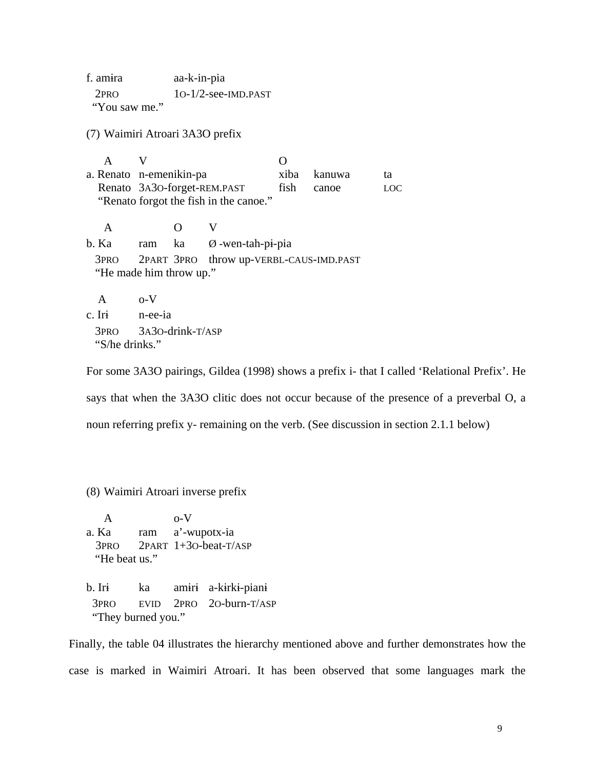f. amra aa-k-in-pia 2PRO 1O-1/2-see-IMD.PAST "You saw me."

(7) Waimiri Atroari 3A3O prefix

A V O a. Renato n-emenikin-pa xiba kanuwa ta Renato 3A30-forget-REM.PAST fish canoe LOC "Renato forgot the fish in the canoe." A O V  $b.$  Ka ram ka  $\emptyset$ -wen-tah-pi-pia 3PRO 2PART 3PRO throw up-VERBL-CAUS-IMD.PAST "He made him throw up." A o-V c. Iri n-ee-ia 3PRO 3A3O-drink-T/ASP "S/he drinks."

For some 3A3O pairings, Gildea (1998) shows a prefix i- that I called 'Relational Prefix'. He says that when the 3A3O clitic does not occur because of the presence of a preverbal O, a

noun referring prefix y- remaining on the verb. (See discussion in section 2.1.1 below)

(8) Waimiri Atroari inverse prefix

A o-V a. Ka ram a'-wupotx-ia 3PRO 2PART 1+3O-beat-T/ASP "He beat us." b. Iri ka amiri a-kirki-piani 3PRO EVID 2PRO 2O-burn-T/ASP "They burned you."

Finally, the table 04 illustrates the hierarchy mentioned above and further demonstrates how the case is marked in Waimiri Atroari. It has been observed that some languages mark the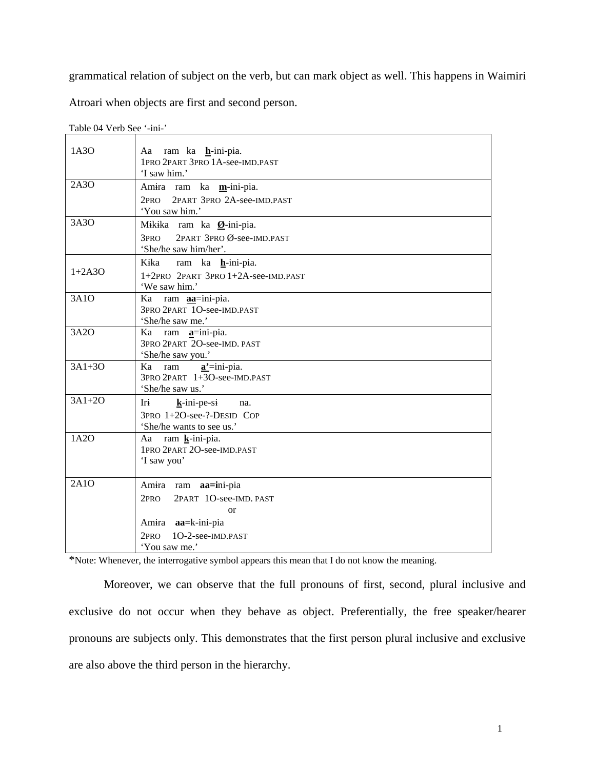grammatical relation of subject on the verb, but can mark object as well. This happens in Waimiri

Atroari when objects are first and second person.

| Aa ram ka <b>h</b> -ini-pia.<br>1PRO 2PART 3PRO 1A-see-IMD.PAST<br>'I saw him.'                                                                          |
|----------------------------------------------------------------------------------------------------------------------------------------------------------|
| Amira ram ka m-ini-pia.<br>2PART 3PRO 2A-see-IMD.PAST<br>2 <sub>PRO</sub><br>'You saw him.'                                                              |
| Mikika ram ka Ø-ini-pia.<br>3PRO 2PART 3PRO Ø-see-IMD.PAST<br>'She/he saw him/her'.                                                                      |
| Kika<br>ram ka h-ini-pia.<br>1+2PRO 2PART 3PRO 1+2A-see-IMD.PAST<br>'We saw him.'                                                                        |
| Ka ram <b>aa</b> =ini-pia.<br>3PRO 2PART 1O-see-IMD.PAST<br>'She/he saw me.'                                                                             |
| Ka ram <b>a</b> =ini-pia.<br>3PRO 2PART 2O-see-IMD. PAST<br>'She/he saw you.'                                                                            |
| Ka ram <b>a'</b> =ini-pia.<br>3PRO 2PART 1+3O-see-IMD.PAST<br>'She/he saw us.'                                                                           |
| Iri<br>$k$ -ini-pe-si na.<br>3PRO 1+2O-see-?-DESID COP<br>'She/he wants to see us.'                                                                      |
| Aa ram k-ini-pia.<br>1PRO 2PART 2O-see-IMD.PAST<br>'I saw you'                                                                                           |
| Amira ram <b>aa=i</b> ni-pia<br>2PART 1O-see-IMD. PAST<br>2pro<br><sub>or</sub><br>Amira <b>aa</b> =k-ini-pia<br>2PRO 1O-2-see-IMD.PAST<br>'You saw me.' |
|                                                                                                                                                          |

Table 04 Verb See '-ini-'

\*Note: Whenever, the interrogative symbol appears this mean that I do not know the meaning.

 Moreover, we can observe that the full pronouns of first, second, plural inclusive and exclusive do not occur when they behave as object. Preferentially, the free speaker/hearer pronouns are subjects only. This demonstrates that the first person plural inclusive and exclusive are also above the third person in the hierarchy.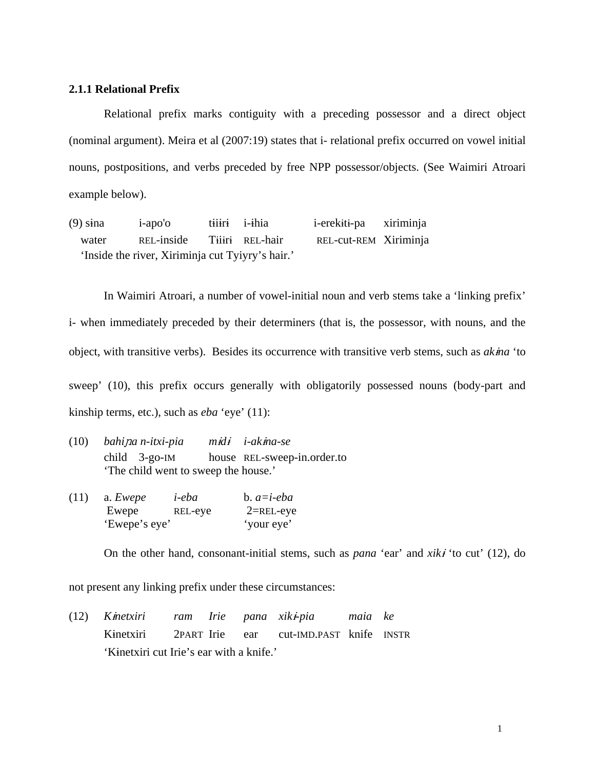## **2.1.1 Relational Prefix**

 Relational prefix marks contiguity with a preceding possessor and a direct object (nominal argument). Meira et al (2007:19) states that i- relational prefix occurred on vowel initial nouns, postpositions, and verbs preceded by free NPP possessor/objects. (See Waimiri Atroari example below).

(9) sina i-apo'o tiiiri i-ihia i-erekiti-pa xiriminja water REL-inside Tiiri REL-hair REL-cut-REM Xiriminja 'Inside the river, Xiriminja cut Tyiyry's hair.'

In Waimiri Atroari, a number of vowel-initial noun and verb stems take a 'linking prefix' i*-* when immediately preceded by their determiners (that is, the possessor, with nouns, and the object, with transitive verbs). Besides its occurrence with transitive verb stems, such as *akna* 'to sweep' (10), this prefix occurs generally with obligatorily possessed nouns (body-part and kinship terms, etc.), such as *eba* 'eye' (11):

- (10) *bahia n-itxi-pia md i-akna-se*  child 3-go-IM house REL-sweep-in.order.to 'The child went to sweep the house.'
- (11) a. *Ewepe i-eba* b. *a=i-eba*  Ewepe REL-eye 2=REL-eye 'Ewepe's eye' 'your eye'

On the other hand, consonant-initial stems, such as *pana* 'ear' and *xiki* 'to cut' (12), do

not present any linking prefix under these circumstances:

(12) *Knetxiri ram Irie pana xik-pia maia ke*  Knetxiri 2PART Irie ear cut-IMD.PAST knife INSTR 'Kinetxiri cut Irie's ear with a knife.'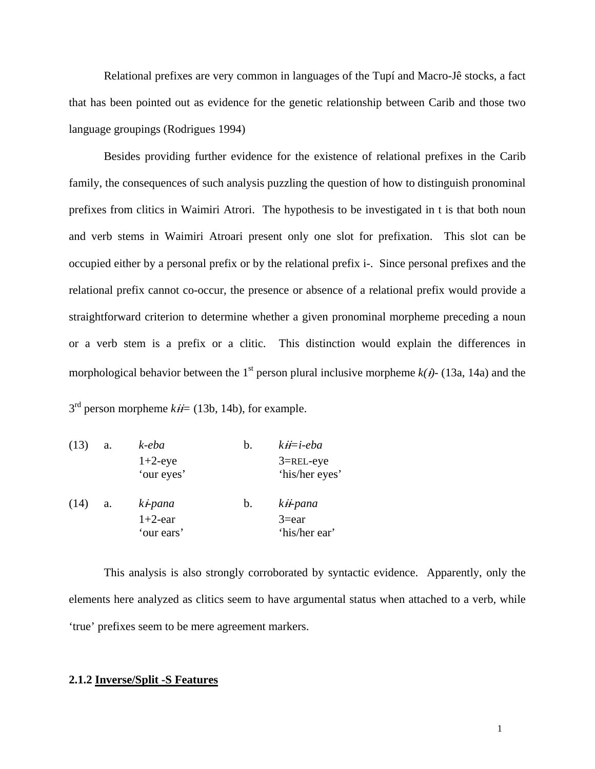Relational prefixes are very common in languages of the Tupí and Macro-Jê stocks, a fact that has been pointed out as evidence for the genetic relationship between Carib and those two language groupings (Rodrigues 1994)

Besides providing further evidence for the existence of relational prefixes in the Carib family, the consequences of such analysis puzzling the question of how to distinguish pronominal prefixes from clitics in Waimiri Atrori. The hypothesis to be investigated in t is that both noun and verb stems in Waimiri Atroari present only one slot for prefixation. This slot can be occupied either by a personal prefix or by the relational prefix i*-*. Since personal prefixes and the relational prefix cannot co-occur, the presence or absence of a relational prefix would provide a straightforward criterion to determine whether a given pronominal morpheme preceding a noun or a verb stem is a prefix or a clitic. This distinction would explain the differences in morphological behavior between the 1<sup>st</sup> person plural inclusive morpheme  $k(i)$ - (13a, 14a) and the

 $3<sup>rd</sup>$  person morpheme  $k\ddot{H} = (13b, 14b)$ , for example.

| (13) | a. | k-eba              | b. | $kH = i$ -eba  |
|------|----|--------------------|----|----------------|
|      |    | $1+2$ -eye         |    | $3 =$ REL-eye  |
|      |    | 'our eyes'         |    | 'his/her eyes' |
| (14) | a. | $k$ <i>i</i> -pana | b. | kii-pana       |
|      |    | $1+2$ -ear         |    | $3 = ear$      |
|      |    | 'our ears'         |    | 'his/her ear'  |

 This analysis is also strongly corroborated by syntactic evidence. Apparently, only the elements here analyzed as clitics seem to have argumental status when attached to a verb, while 'true' prefixes seem to be mere agreement markers.

# **2.1.2 Inverse/Split -S Features**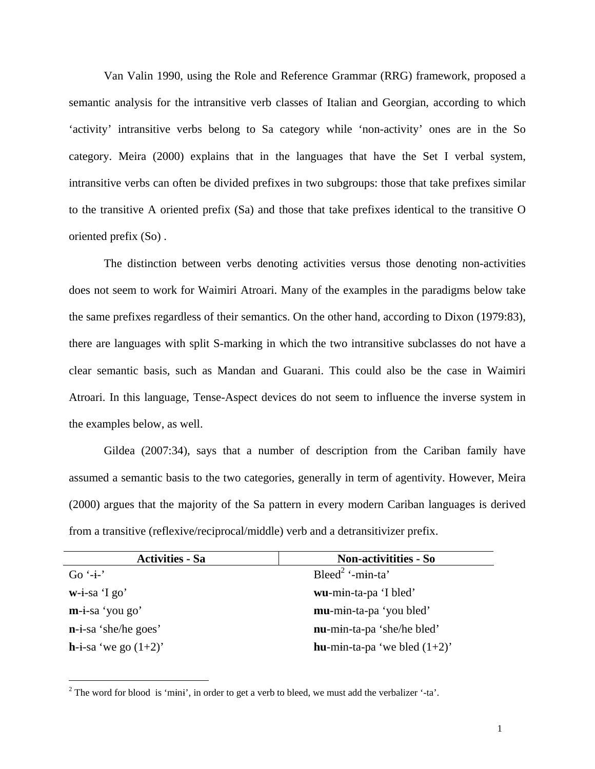Van Valin 1990, using the Role and Reference Grammar (RRG) framework, proposed a semantic analysis for the intransitive verb classes of Italian and Georgian, according to which 'activity' intransitive verbs belong to Sa category while 'non-activity' ones are in the So category. Meira (2000) explains that in the languages that have the Set I verbal system, intransitive verbs can often be divided prefixes in two subgroups: those that take prefixes similar to the transitive A oriented prefix (Sa) and those that take prefixes identical to the transitive O oriented prefix (So) .

 The distinction between verbs denoting activities versus those denoting non-activities does not seem to work for Waimiri Atroari. Many of the examples in the paradigms below take the same prefixes regardless of their semantics. On the other hand, according to Dixon (1979:83), there are languages with split S-marking in which the two intransitive subclasses do not have a clear semantic basis, such as Mandan and Guarani. This could also be the case in Waimiri Atroari. In this language, Tense-Aspect devices do not seem to influence the inverse system in the examples below, as well.

 Gildea (2007:34), says that a number of description from the Cariban family have assumed a semantic basis to the two categories, generally in term of agentivity. However, Meira (2000) argues that the majority of the Sa pattern in every modern Cariban languages is derived from a transitive (reflexive/reciprocal/middle) verb and a detransitivizer prefix.

| <b>Activities - Sa</b>           | <b>Non-activitities - So</b>            |  |  |
|----------------------------------|-----------------------------------------|--|--|
| Go $-i$ -                        | Bleed <sup>2</sup> '-min-ta'            |  |  |
| $w-i-sa$ 'I go'                  | wu-min-ta-pa 'I bled'                   |  |  |
| $m-i$ -sa 'you go'               | mu-min-ta-pa 'you bled'                 |  |  |
| $\mathbf{n}$ -i-sa 'she/he goes' | nu-min-ta-pa 'she/he bled'              |  |  |
| <b>h</b> -i-sa 'we go $(1+2)$ '  | <b>hu</b> -min-ta-pa 'we bled $(1+2)$ ' |  |  |

<sup>&</sup>lt;sup>2</sup> The word for blood is 'mini', in order to get a verb to bleed, we must add the verbalizer '-ta'.

 $\overline{a}$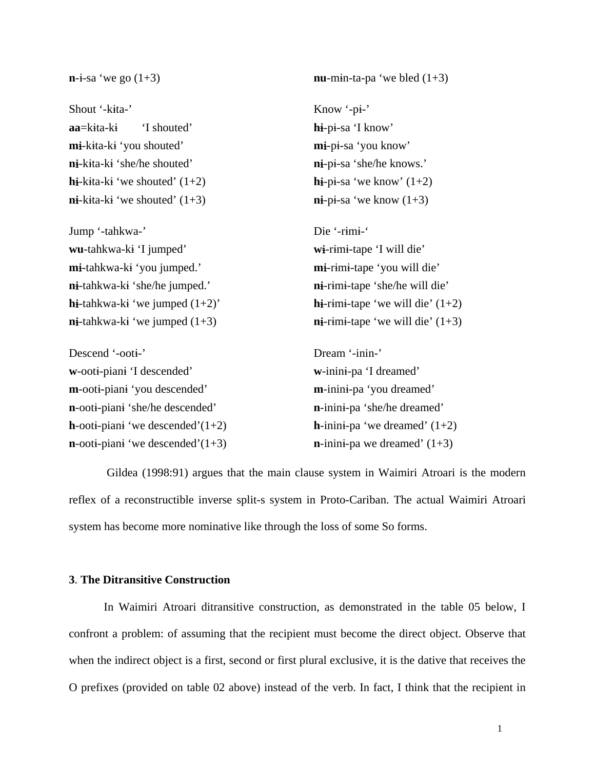$\mathbf{n}$ -i-sa 'we go (1+3) **nu**-min-ta-pa 'we bled (1+3) Shout '-kita-' Know '-pi-' **aa**=kita-ki 'I shouted' **h**i-pi-sa 'I know' **m**i-kita-k 'you shouted' **m**i-pi-sa 'you know' **n**i-kita-ki 'she/he shouted' **n**i-pi-sa 'she/he knows.' **h**i-kita-ki 'we shouted'  $(1+2)$  **h**i-pi-sa 'we know'  $(1+2)$  $\mathbf{n}$ **-**kita-k ive shouted' (1+3)  $\mathbf{n}$ **-p**i-sa 'we know (1+3) Jump '-tahkwa-' Die '-rm-' **wu**-tahkwa-ki 'I jumped' **wi-**rimi-tape 'I will die' **m**i-tahkwa-k 'you jumped.' **mi-**rimi-tape 'you will die' **n**i-tahkwa-ki 'she/he jumped.' **n**i-rimi-tape 'she/he will die' **h**i-tahkwa-k 'we jumped  $(1+2)$ ' **h**i-rimi-tape 'we will die'  $(1+2)$  $\mathbf{n}$ **i**-tahkwa-k i'we jumped (1+3)  $\mathbf{n}$ **i**-rimi-tape 'we will die' (1+3) Descend '-ooti-' Dream '-inin-' **w**-ooti-pian if descended' **w**-inini-pa 'I dreamed' **m**-ooti-piani 'you descended' **m**-inini-pa 'you dreamed' **n**-ooti-pian ishe/he descended' **n**-inin-pa 'she/he dreamed' **h**-ooti-piani 'we descended'(1+2) **h**-inini-pa 'we dreamed' (1+2)  $\mathbf{n}$ -ooti-pian i'we descended'(1+3)  $\mathbf{n}$ -inini-pa we dreamed' (1+3)

 Gildea (1998:91) argues that the main clause system in Waimiri Atroari is the modern reflex of a reconstructible inverse split-s system in Proto-Cariban. The actual Waimiri Atroari system has become more nominative like through the loss of some So forms.

## **3**. **The Ditransitive Construction**

 In Waimiri Atroari ditransitive construction, as demonstrated in the table 05 below, I confront a problem: of assuming that the recipient must become the direct object. Observe that when the indirect object is a first, second or first plural exclusive, it is the dative that receives the O prefixes (provided on table 02 above) instead of the verb. In fact, I think that the recipient in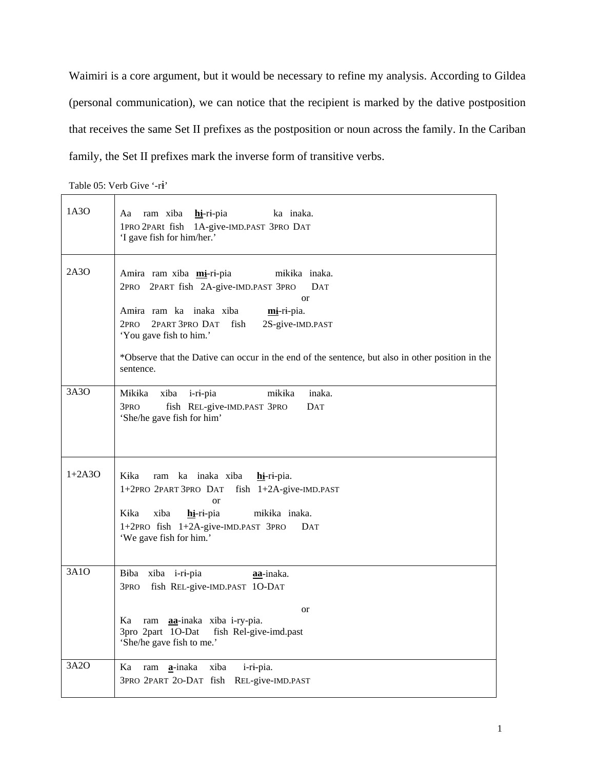Waimiri is a core argument, but it would be necessary to refine my analysis. According to Gildea (personal communication), we can notice that the recipient is marked by the dative postposition that receives the same Set II prefixes as the postposition or noun across the family. In the Cariban family, the Set II prefixes mark the inverse form of transitive verbs.

Table 05: Verb Give '-ri'

| 1A3O     | Aa ram xiba hi-ri-pia ka inaka.<br>1PRO 2PARt fish 1A-give-IMD.PAST 3PRO DAT<br>'I gave fish for him/her.'                                                                                                                                                                                                                                    |
|----------|-----------------------------------------------------------------------------------------------------------------------------------------------------------------------------------------------------------------------------------------------------------------------------------------------------------------------------------------------|
| 2A3O     | Amira ram xiba mi-ri-pia<br>mikika inaka.<br>2PRO 2PART fish 2A-give-IMD.PAST 3PRO<br>DAT<br>$\alpha$<br>Amira ram ka inaka xiba<br>mi-ri-pia.<br>2PART 3PRO DAT fish<br>2S-give-IMD.PAST<br>2PRO<br>'You gave fish to him.'<br>*Observe that the Dative can occur in the end of the sentence, but also in other position in the<br>sentence. |
| 3A3O     | Mikika<br>xiba<br>mikika<br>inaka.<br>i-ri-pia<br>fish REL-give-IMD.PAST 3PRO<br>3pro<br>DAT<br>'She/he gave fish for him'                                                                                                                                                                                                                    |
| $1+2A3O$ | Kika<br>ram ka inaka xiba<br>$h\mathbf{i}$ -ri-pia.<br>1+2PRO 2PART 3PRO DAT fish 1+2A-give-IMD.PAST<br>$\alpha$<br>Kika<br>xiba<br>hi-ri-pia<br>mikika inaka.<br>1+2PRO fish 1+2A-give-IMD.PAST 3PRO DAT<br>'We gave fish for him.'                                                                                                          |
| 3A1O     | Biba xiba i-ri-pia<br>aa-inaka.<br>fish REL-give-IMD.PAST 1O-DAT<br>3 <sub>PRO</sub><br><b>or</b><br>Ka<br>ram <b>aa</b> -inaka xiba i-ry-pia.<br>3pro 2part 1O-Dat<br>fish Rel-give-imd.past<br>'She/he gave fish to me.'                                                                                                                    |
| 3A2O     | Ka<br>ram <b>a</b> -inaka<br>xiba<br>i-ri-pia.<br>3PRO 2PART 20-DAT fish REL-give-IMD.PAST                                                                                                                                                                                                                                                    |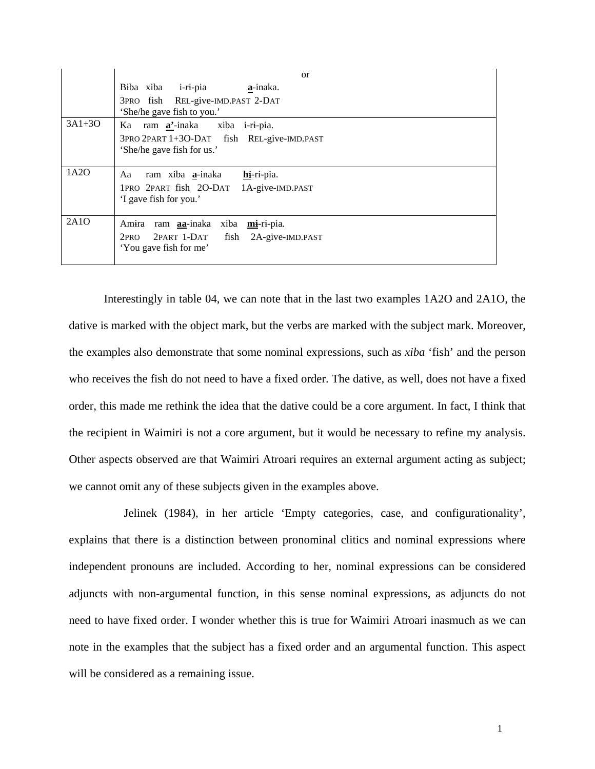|          | or                                                                                                                                        |
|----------|-------------------------------------------------------------------------------------------------------------------------------------------|
|          | Biba xiba i-ri-pia<br>a-inaka.                                                                                                            |
|          | 3PRO fish REL-give-IMD.PAST 2-DAT<br>'She/he gave fish to you.'                                                                           |
| $3A1+3O$ | ram <b>a'</b> -inaka xiba i-ri-pia.<br>Ka                                                                                                 |
|          | 3PRO 2PART 1+3O-DAT fish REL-give-IMD.PAST<br>'She/he gave fish for us.'                                                                  |
| 1A2O     | hi-ri-pia.<br>ram xiba <b>a</b> -inaka<br>Aa<br>1PRO 2PART fish 2O-DAT 1A-give-IMD.PAST<br>'I gave fish for you.'                         |
| 2A1O     | ram <b>aa</b> -inaka xiba <b>mi</b> -ri-pia.<br>Am <del>i</del> ra<br>2PART 1-DAT fish 2A-give-IMD.PAST<br>2PRO<br>'You gave fish for me' |

Interestingly in table 04, we can note that in the last two examples 1A2O and 2A1O, the dative is marked with the object mark, but the verbs are marked with the subject mark. Moreover, the examples also demonstrate that some nominal expressions, such as *xiba* 'fish' and the person who receives the fish do not need to have a fixed order. The dative, as well, does not have a fixed order, this made me rethink the idea that the dative could be a core argument. In fact, I think that the recipient in Waimiri is not a core argument, but it would be necessary to refine my analysis. Other aspects observed are that Waimiri Atroari requires an external argument acting as subject; we cannot omit any of these subjects given in the examples above.

Jelinek (1984), in her article 'Empty categories, case, and configurationality', explains that there is a distinction between pronominal clitics and nominal expressions where independent pronouns are included. According to her, nominal expressions can be considered adjuncts with non-argumental function, in this sense nominal expressions, as adjuncts do not need to have fixed order. I wonder whether this is true for Waimiri Atroari inasmuch as we can note in the examples that the subject has a fixed order and an argumental function. This aspect will be considered as a remaining issue.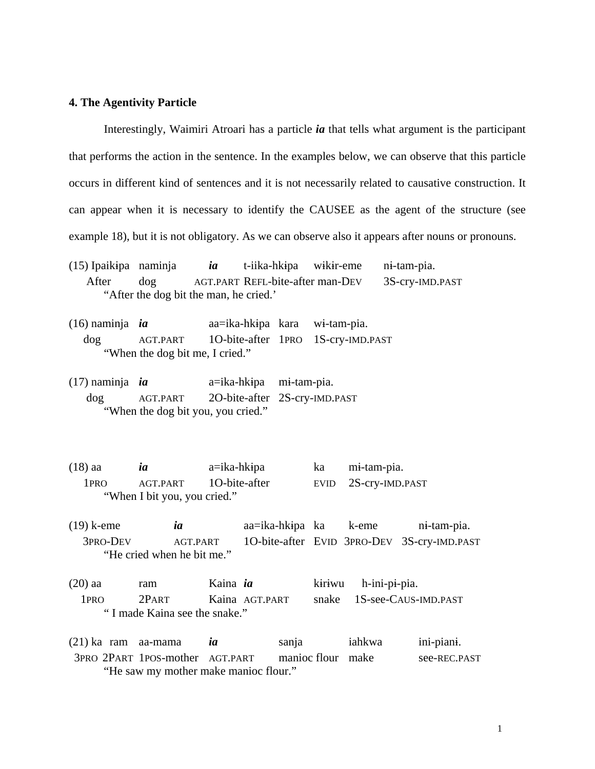#### **4. The Agentivity Particle**

Interestingly, Waimiri Atroari has a particle *ia* that tells what argument is the participant that performs the action in the sentence. In the examples below, we can observe that this particle occurs in different kind of sentences and it is not necessarily related to causative construction. It can appear when it is necessary to identify the CAUSEE as the agent of the structure (see example 18), but it is not obligatory. As we can observe also it appears after nouns or pronouns.

(15) Ipaikipa naminja *ia* t-iika-hkipa wikir-eme ni-tam-pia. After dog AGT.PART REFL-bite-after man-DEV 3S-cry-IMD.PAST "After the dog bit the man, he cried.'

- (16) naminja *ia* aa=ika-hkipa kara wi-tam-pia. dog AGT.PART 1O-bite-after 1PRO 1S-cry-IMD.PAST "When the dog bit me, I cried."
- $(17)$  naminja *ia*  $a = ika-hkipa$  mi-tam-pia. dog AGT.PART 2O-bite-after 2S-cry-IMD.PAST "When the dog bit you, you cried."
- (18) aa *ia* a=ika-hkipa ka mi-tam-pia. 1PRO AGT.PART 1O-bite-after EVID 2S-cry-IMD.PAST "When I bit you, you cried."
- (19) k-eme *ia* aa=ika-hkpa ka k-eme n-tam-pia. 3PRO-DEV AGT.PART 1O-bite-after EVID 3PRO-DEV 3S-cry-IMD.PAST "He cried when he bit me."
- (20) aa ram Kaina *ia* kiriwu h-ini-pi-pia. 1PRO 2PART Kaina AGT.PART snake 1S-see-CAUS-IMD.PAST " I made Kaina see the snake."
- (21) ka ram aa-mama *ia* sanja iahkwa ini-pian. 3PRO 2PART 1POS-mother AGT.PART manioc flour make see-REC.PAST "He saw my mother make manioc flour."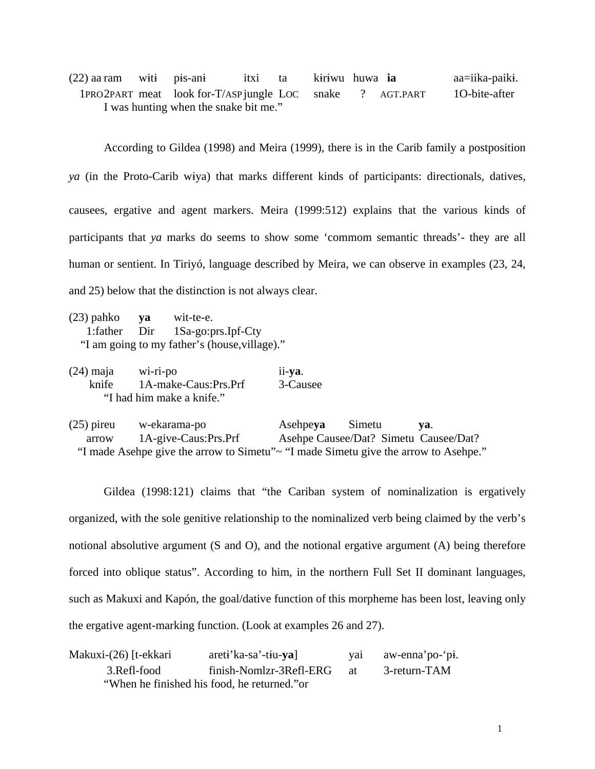(22) aa ram witi pis-ani itxi ta kiriwu huwa **ia** aa=iika-paiki. 1PRO 2PART meat look for-T/ASP jungle LOC snake ? AGT.PART 1O-bite-after I was hunting when the snake bit me."

 According to Gildea (1998) and Meira (1999), there is in the Carib family a postposition *ya* (in the Proto-Carib wiya) that marks different kinds of participants: directionals, datives, causees, ergative and agent markers. Meira (1999:512) explains that the various kinds of participants that *ya* marks do seems to show some 'commom semantic threads'- they are all human or sentient. In Tiriyó, language described by Meira, we can observe in examples (23, 24, and 25) below that the distinction is not always clear.

- (23) pahko **ya** wit-te-e. 1:father Dir 1Sa-go:prs.Ipf-Cty "I am going to my father's (house,village)."
- (24) maja wi-ri-po ii-**ya**. knife 1A-make-Caus:Prs.Prf 3-Causee "I had him make a knife."

(25) pireu w-ekarama-po Asehpe**ya** Simetu **ya**. arrow 1A-give-Caus:Prs.Prf Asehpe Causee/Dat? Simetu Causee/Dat? "I made Asehpe give the arrow to Simetu"~ "I made Simetu give the arrow to Asehpe."

 Gildea (1998:121) claims that "the Cariban system of nominalization is ergatively organized, with the sole genitive relationship to the nominalized verb being claimed by the verb's notional absolutive argument (S and O), and the notional ergative argument (A) being therefore forced into oblique status". According to him, in the northern Full Set II dominant languages, such as Makuxi and Kapón, the goal/dative function of this morpheme has been lost, leaving only the ergative agent-marking function. (Look at examples 26 and 27).

| Makuxi-(26) [t-ekkari | $areti'ka-sa'-tiu-va]$                       | vai | aw-enna'po-'pi. |
|-----------------------|----------------------------------------------|-----|-----------------|
| 3.Refl-food           | finish-Nomlzr-3Refl-ERG                      | at  | 3-return-TAM    |
|                       | "When he finished his food, he returned." or |     |                 |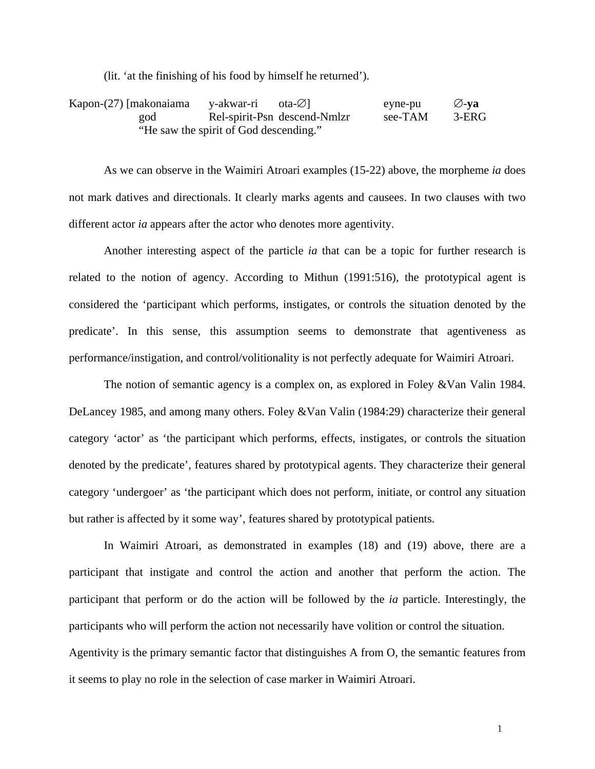(lit. 'at the finishing of his food by himself he returned').

| Kapon-(27) [makonaiama | y-akwar-ri ota-∅]                      |                              | eyne-pu | $\oslash$ -va |
|------------------------|----------------------------------------|------------------------------|---------|---------------|
| god                    |                                        | Rel-spirit-Psn descend-Nmlzr | see-TAM | 3-ERG         |
|                        | "He saw the spirit of God descending." |                              |         |               |

 As we can observe in the Waimiri Atroari examples (15-22) above, the morpheme *ia* does not mark datives and directionals. It clearly marks agents and causees. In two clauses with two different actor *ia* appears after the actor who denotes more agentivity.

 Another interesting aspect of the particle *ia* that can be a topic for further research is related to the notion of agency. According to Mithun (1991:516), the prototypical agent is considered the 'participant which performs, instigates, or controls the situation denoted by the predicate'. In this sense, this assumption seems to demonstrate that agentiveness as performance/instigation, and control/volitionality is not perfectly adequate for Waimiri Atroari.

 The notion of semantic agency is a complex on, as explored in Foley &Van Valin 1984. DeLancey 1985, and among many others. Foley &Van Valin (1984:29) characterize their general category 'actor' as 'the participant which performs, effects, instigates, or controls the situation denoted by the predicate', features shared by prototypical agents. They characterize their general category 'undergoer' as 'the participant which does not perform, initiate, or control any situation but rather is affected by it some way', features shared by prototypical patients.

 In Waimiri Atroari, as demonstrated in examples (18) and (19) above, there are a participant that instigate and control the action and another that perform the action. The participant that perform or do the action will be followed by the *ia* particle. Interestingly, the participants who will perform the action not necessarily have volition or control the situation. Agentivity is the primary semantic factor that distinguishes A from O, the semantic features from it seems to play no role in the selection of case marker in Waimiri Atroari.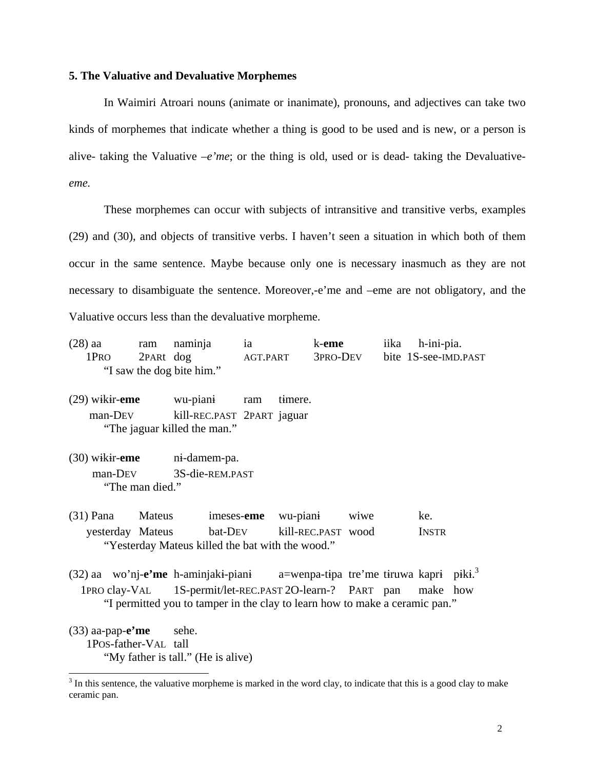#### **5. The Valuative and Devaluative Morphemes**

In Waimiri Atroari nouns (animate or inanimate), pronouns, and adjectives can take two kinds of morphemes that indicate whether a thing is good to be used and is new, or a person is alive- taking the Valuative  $-e<sup>i</sup>$  *me*; or the thing is old, used or is dead- taking the Devaluative*eme.* 

These morphemes can occur with subjects of intransitive and transitive verbs, examples (29) and (30), and objects of transitive verbs. I haven't seen a situation in which both of them occur in the same sentence. Maybe because only one is necessary inasmuch as they are not necessary to disambiguate the sentence. Moreover,-e'me and –eme are not obligatory, and the Valuative occurs less than the devaluative morpheme.

- (28) aa ram naminja ia k-**eme** iika h-ini-pia. 1PRO 2PARt dog AGT.PART 3PRO-DEV bite 1S-see-IMD.PAST "I saw the dog bite him."
- (29) wikir-**eme** wu-piani ram timere. man-DEV kill-REC.PAST 2PART jaguar "The jaguar killed the man."
- (30) wikir-**eme** ni-damem-pa. man-DEV 3S-die-REM.PAST "The man died."
- (31) Pana Mateus imeses-**eme** wu-piani wiwe ke. yesterday Mateus bat-DEV kill-REC.PAST wood INSTR "Yesterday Mateus killed the bat with the wood."
- (32) aa wo'nj-**e'me** h-aminjaki-piani a=wenpa-tipa tre'me tiruwa kapri piki.<sup>3</sup> 1PRO clay-VAL 1S-permit/let-REC.PAST 2O-learn-? PART pan make how "I permitted you to tamper in the clay to learn how to make a ceramic pan."
- (33) aa-pap-**e'me** sehe. 1POS-father-VAL tall "My father is tall." (He is alive)

 $\overline{a}$ 

 $3$  In this sentence, the valuative morpheme is marked in the word clay, to indicate that this is a good clay to make ceramic pan.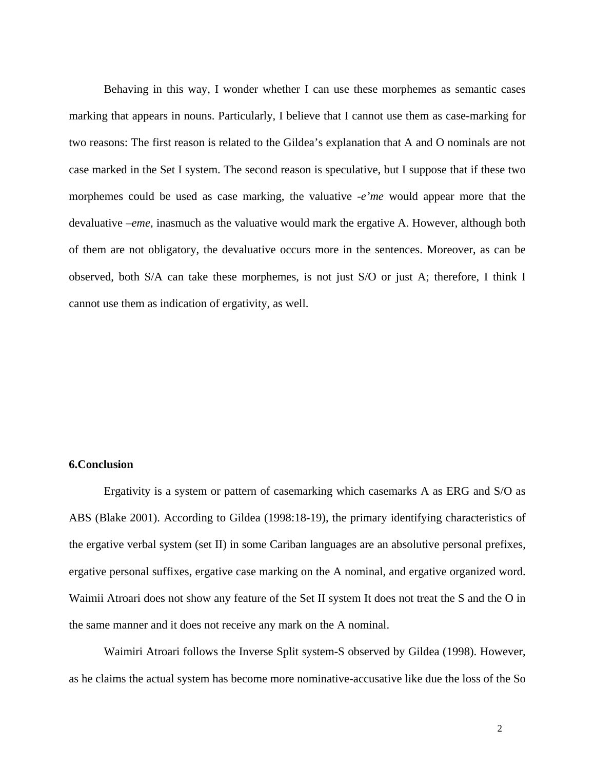Behaving in this way, I wonder whether I can use these morphemes as semantic cases marking that appears in nouns. Particularly, I believe that I cannot use them as case-marking for two reasons: The first reason is related to the Gildea's explanation that A and O nominals are not case marked in the Set I system. The second reason is speculative, but I suppose that if these two morphemes could be used as case marking, the valuative -*e'me* would appear more that the devaluative –*eme*, inasmuch as the valuative would mark the ergative A. However, although both of them are not obligatory, the devaluative occurs more in the sentences. Moreover, as can be observed, both S/A can take these morphemes, is not just S/O or just A; therefore, I think I cannot use them as indication of ergativity, as well.

#### **6.Conclusion**

Ergativity is a system or pattern of casemarking which casemarks A as ERG and S/O as ABS (Blake 2001). According to Gildea (1998:18-19), the primary identifying characteristics of the ergative verbal system (set II) in some Cariban languages are an absolutive personal prefixes, ergative personal suffixes, ergative case marking on the A nominal, and ergative organized word. Waimii Atroari does not show any feature of the Set II system It does not treat the S and the O in the same manner and it does not receive any mark on the A nominal.

Waimiri Atroari follows the Inverse Split system-S observed by Gildea (1998). However, as he claims the actual system has become more nominative-accusative like due the loss of the So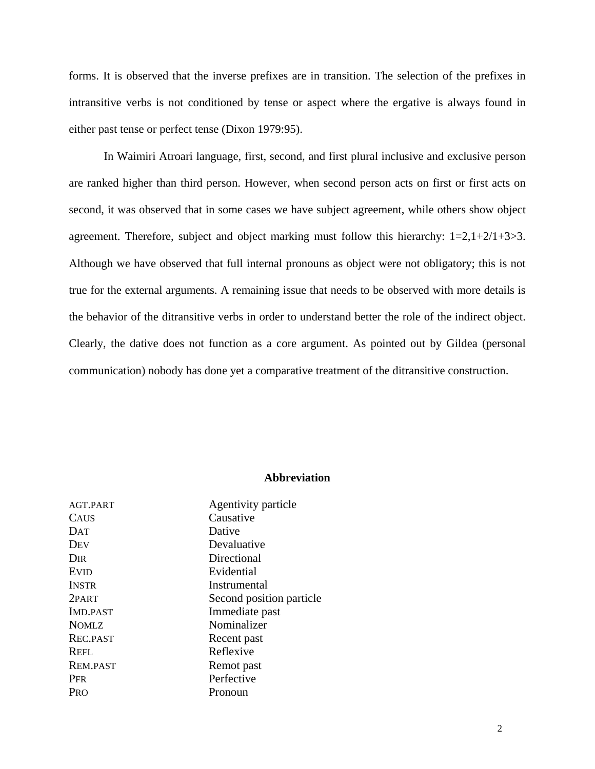forms. It is observed that the inverse prefixes are in transition. The selection of the prefixes in intransitive verbs is not conditioned by tense or aspect where the ergative is always found in either past tense or perfect tense (Dixon 1979:95).

 In Waimiri Atroari language, first, second, and first plural inclusive and exclusive person are ranked higher than third person. However, when second person acts on first or first acts on second, it was observed that in some cases we have subject agreement, while others show object agreement. Therefore, subject and object marking must follow this hierarchy: 1=2,1+2/1+3>3. Although we have observed that full internal pronouns as object were not obligatory; this is not true for the external arguments. A remaining issue that needs to be observed with more details is the behavior of the ditransitive verbs in order to understand better the role of the indirect object. Clearly, the dative does not function as a core argument. As pointed out by Gildea (personal communication) nobody has done yet a comparative treatment of the ditransitive construction.

# **Abbreviation**

| AGT.PART        | Agentivity particle      |
|-----------------|--------------------------|
| CAUS            | Causative                |
| DAT             | Dative                   |
| Dev             | Devaluative              |
| Dir             | Directional              |
| Evid            | Evidential               |
| <b>INSTR</b>    | Instrumental             |
| 2PART           | Second position particle |
| <b>IMD.PAST</b> | Immediate past           |
| NOMLZ           | Nominalizer              |
| REC.PAST        | Recent past              |
| Refl.           | Reflexive                |
| <b>REM.PAST</b> | Remot past               |
| Per             | Perfective               |
| Pro             | Pronoun                  |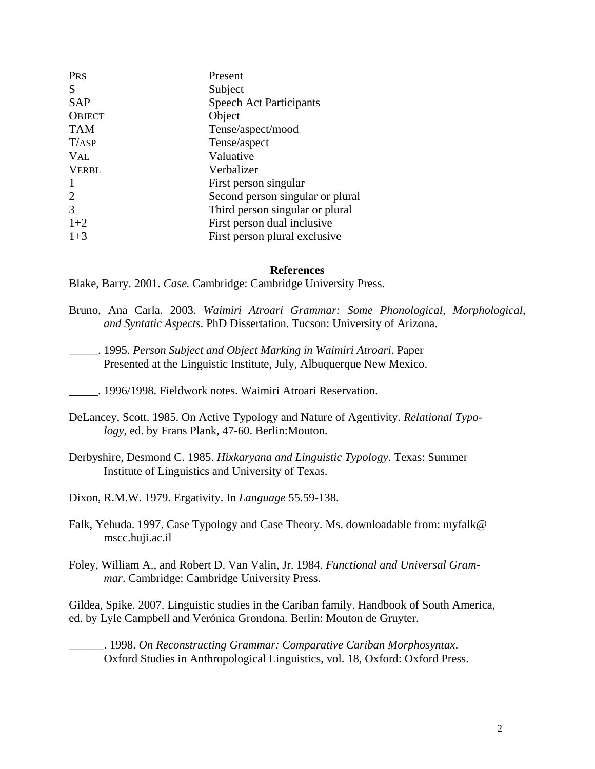| Present                          |
|----------------------------------|
| Subject                          |
| <b>Speech Act Participants</b>   |
| Object                           |
| Tense/aspect/mood                |
| Tense/aspect                     |
| Valuative                        |
| Verbalizer                       |
| First person singular            |
| Second person singular or plural |
| Third person singular or plural  |
| First person dual inclusive      |
| First person plural exclusive    |
|                                  |

## **References**

Blake, Barry. 2001. *Case.* Cambridge: Cambridge University Press.

\_\_\_\_\_. 1996/1998. Fieldwork notes. Waimiri Atroari Reservation.

- DeLancey, Scott. 1985. On Active Typology and Nature of Agentivity. *Relational Typo logy*, ed. by Frans Plank, 47-60. Berlin:Mouton.
- Derbyshire, Desmond C. 1985. *Hixkaryana and Linguistic Typology*. Texas: Summer Institute of Linguistics and University of Texas.

Dixon, R.M.W. 1979. Ergativity. In *Language* 55.59-138.

- Falk, Yehuda. 1997. Case Typology and Case Theory. Ms. downloadable from: myfalk@ mscc.huji.ac.il
- Foley, William A., and Robert D. Van Valin, Jr. 1984. *Functional and Universal Gram mar*. Cambridge: Cambridge University Press.

Gildea, Spike. 2007. Linguistic studies in the Cariban family. Handbook of South America, ed. by Lyle Campbell and Verónica Grondona. Berlin: Mouton de Gruyter.

\_\_\_\_\_\_. 1998. *On Reconstructing Grammar: Comparative Cariban Morphosyntax*. Oxford Studies in Anthropological Linguistics, vol. 18, Oxford: Oxford Press.

Bruno, Ana Carla. 2003. *Waimiri Atroari Grammar: Some Phonological, Morphological, and Syntatic Aspects*. PhD Dissertation. Tucson: University of Arizona.

\_\_\_\_\_. 1995. *Person Subject and Object Marking in Waimiri Atroari*. Paper Presented at the Linguistic Institute, July, Albuquerque New Mexico.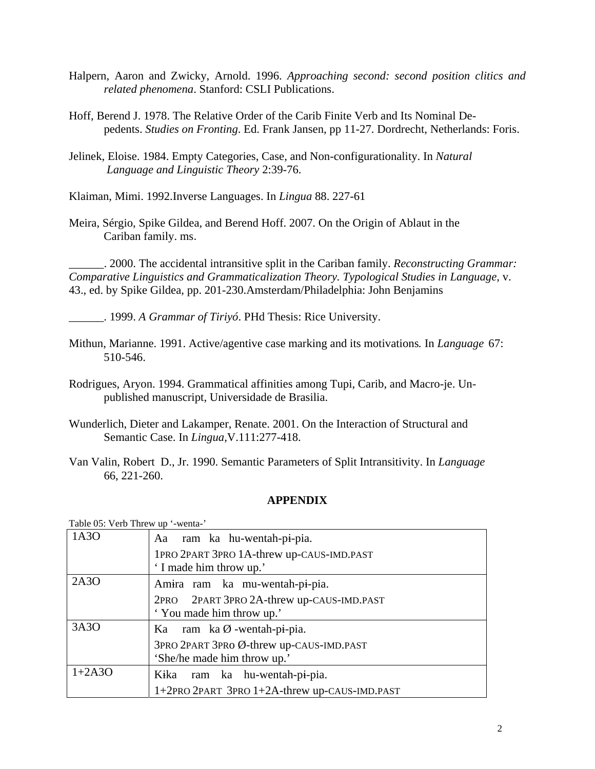- Halpern, Aaron and Zwicky, Arnold. 1996. *Approaching second: second position clitics and related phenomena*. Stanford: CSLI Publications.
- Hoff, Berend J. 1978. The Relative Order of the Carib Finite Verb and Its Nominal Depedents. *Studies on Fronting*. Ed. Frank Jansen, pp 11-27. Dordrecht, Netherlands: Foris.
- Jelinek, Eloise. 1984. Empty Categories, Case, and Non-configurationality. In *Natural Language and Linguistic Theory* 2:39-76.

Klaiman, Mimi. 1992.Inverse Languages. In *Lingua* 88. 227-61

Meira, Sérgio, Spike Gildea, and Berend Hoff. 2007. On the Origin of Ablaut in the Cariban family. ms.

\_\_\_\_\_\_. 2000. The accidental intransitive split in the Cariban family. *Reconstructing Grammar: Comparative Linguistics and Grammaticalization Theory. Typological Studies in Language,* v. 43., ed. by Spike Gildea, pp. 201-230.Amsterdam/Philadelphia: John Benjamins

\_\_\_\_\_\_. 1999. *A Grammar of Tiriyó*. PHd Thesis: Rice University.

- Mithun, Marianne. 1991. Active/agentive case marking and its motivations*.* In *Language* 67: 510-546.
- Rodrigues, Aryon. 1994. Grammatical affinities among Tupi, Carib, and Macro-je. Un published manuscript, Universidade de Brasilia.
- Wunderlich, Dieter and Lakamper, Renate. 2001. On the Interaction of Structural and Semantic Case. In *Lingua*,V.111:277-418.
- Van Valin, Robert D., Jr. 1990. Semantic Parameters of Split Intransitivity. In *Language*  66, 221-260.

# **APPENDIX**

| Table 05: Verb Threw up '-wenta-' |                                               |  |
|-----------------------------------|-----------------------------------------------|--|
| 1A3O                              | Aa ram ka hu-wentah-pi-pia.                   |  |
|                                   | 1PRO 2PART 3PRO 1A-threw up-CAUS-IMD.PAST     |  |
|                                   | 'I made him throw up.'                        |  |
| 2A3O                              | Amira ram ka mu-wentah-pi-pia.                |  |
|                                   | 2PRO 2PART 3PRO 2A-threw up-CAUS-IMD.PAST     |  |
|                                   | 'You made him throw up.'                      |  |
| 3A3O                              | Ka ram ka $\emptyset$ -wentah-pi-pia.         |  |
|                                   | 3PRO 2PART 3PRO Ø-threw up-CAUS-IMD.PAST      |  |
|                                   | 'She/he made him throw up.'                   |  |
| $1+2A3O$                          | Kika ram ka hu-wentah-pi-pia.                 |  |
|                                   | 1+2PRO 2PART 3PRO 1+2A-threw up-CAUS-IMD.PAST |  |
|                                   |                                               |  |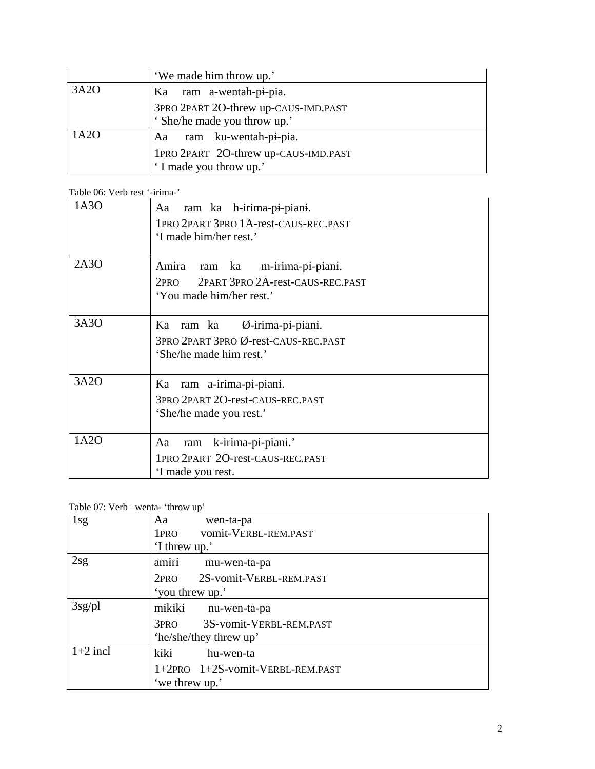|      | 'We made him throw up.'              |
|------|--------------------------------------|
| 3A2O | Ka ram a-wentah-pi-pia.              |
|      | 3PRO 2PART 2O-threw up-CAUS-IMD.PAST |
|      | ' She/he made you throw up.'         |
| 1A2O | Aa ram ku-wentah-pi-pia.             |
|      | 1PRO 2PART 2O-threw up-CAUS-IMD.PAST |
|      | 'I made you throw up.'               |

Table 06: Verb rest '-irima-'

| 1A3O | Aa ram ka h-irima-pi-piani.<br>1PRO 2PART 3PRO 1A-rest-CAUS-REC.PAST<br>'I made him/her rest.'                           |
|------|--------------------------------------------------------------------------------------------------------------------------|
| 2A3O | Amira<br>ram ka<br>m-irima-pi-piani.<br>2PART 3PRO 2A-rest-CAUS-REC.PAST<br>2 <sub>PRO</sub><br>'You made him/her rest.' |
| 3A3O | Ka ram ka Ø-irima-pi-piani.<br>3PRO 2PART 3PRO Ø-rest-CAUS-REC.PAST<br>'She/he made him rest.'                           |
| 3A2O | Ka ram a-irima-pi-piani.<br>3PRO 2PART 2O-rest-CAUS-REC.PAST<br>'She/he made you rest.'                                  |
| 1A2O | k-irima-pi-piani.'<br>ram<br>Aa<br>1PRO 2PART 2O-rest-CAUS-REC.PAST<br>I made you rest.                                  |

Table 07: Verb –wenta- 'throw up'

| 1sg        | wen-ta-pa<br>Aa                             |
|------------|---------------------------------------------|
|            | vomit-VERBL-REM.PAST<br>1 <sub>PRO</sub>    |
|            | 'I threw up.'                               |
| 2sg        | amiri<br>mu-wen-ta-pa                       |
|            | 2S-vomit-VERBL-REM.PAST<br>2PRO             |
|            | 'you threw up.'                             |
| $3sg$ /pl  | mikiki<br>nu-wen-ta-pa                      |
|            | 3S-vomit-VERBL-REM.PAST<br>3 <sub>PRO</sub> |
|            | 'he/she/they threw up'                      |
| $1+2$ incl | kiki<br>hu-wen-ta                           |
|            | 1+2PRO 1+2S-vomit-VERBL-REM.PAST            |
|            | 'we threw up.'                              |
|            |                                             |